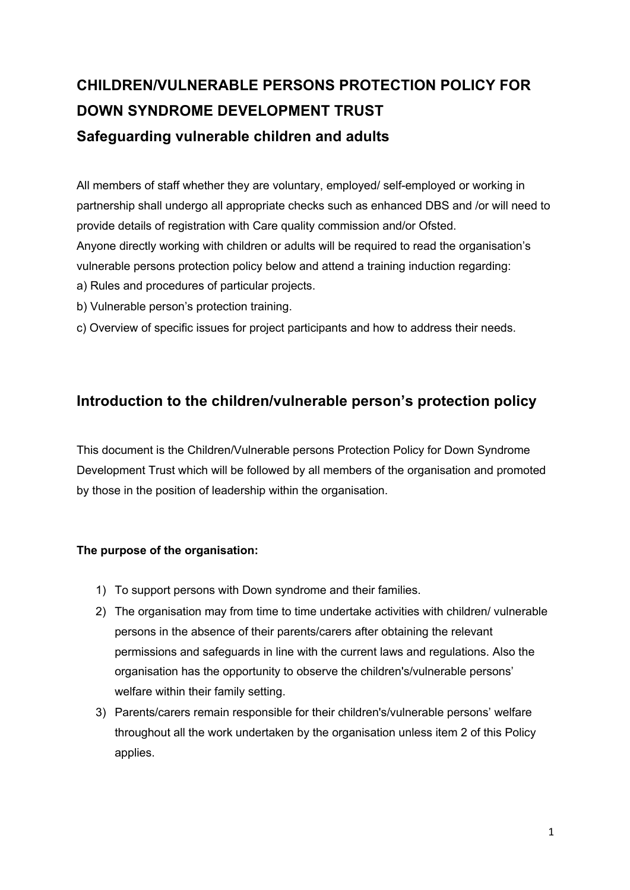# **CHILDREN/VULNERABLE PERSONS PROTECTION POLICY FOR DOWN SYNDROME DEVELOPMENT TRUST Safeguarding vulnerable children and adults**

All members of staff whether they are voluntary, employed/ self-employed or working in partnership shall undergo all appropriate checks such as enhanced DBS and /or will need to provide details of registration with Care quality commission and/or Ofsted. Anyone directly working with children or adults will be required to read the organisation's vulnerable persons protection policy below and attend a training induction regarding: a) Rules and procedures of particular projects.

- b) Vulnerable person's protection training.
- c) Overview of specific issues for project participants and how to address their needs.

# **Introduction to the children/vulnerable person's protection policy**

This document is the Children/Vulnerable persons Protection Policy for Down Syndrome Development Trust which will be followed by all members of the organisation and promoted by those in the position of leadership within the organisation.

#### **The purpose of the organisation:**

- 1) To support persons with Down syndrome and their families.
- 2) The organisation may from time to time undertake activities with children/ vulnerable persons in the absence of their parents/carers after obtaining the relevant permissions and safeguards in line with the current laws and regulations. Also the organisation has the opportunity to observe the children's/vulnerable persons' welfare within their family setting.
- 3) Parents/carers remain responsible for their children's/vulnerable persons' welfare throughout all the work undertaken by the organisation unless item 2 of this Policy applies.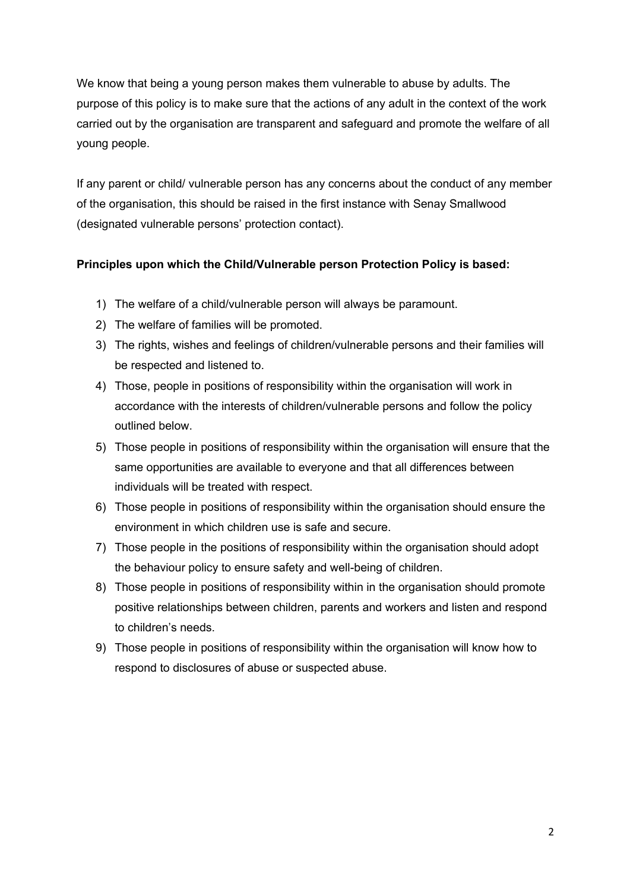We know that being a young person makes them vulnerable to abuse by adults. The purpose of this policy is to make sure that the actions of any adult in the context of the work carried out by the organisation are transparent and safeguard and promote the welfare of all young people.

If any parent or child/ vulnerable person has any concerns about the conduct of any member of the organisation, this should be raised in the first instance with Senay Smallwood (designated vulnerable persons' protection contact).

#### **Principles upon which the Child/Vulnerable person Protection Policy is based:**

- 1) The welfare of a child/vulnerable person will always be paramount.
- 2) The welfare of families will be promoted.
- 3) The rights, wishes and feelings of children/vulnerable persons and their families will be respected and listened to.
- 4) Those, people in positions of responsibility within the organisation will work in accordance with the interests of children/vulnerable persons and follow the policy outlined below.
- 5) Those people in positions of responsibility within the organisation will ensure that the same opportunities are available to everyone and that all differences between individuals will be treated with respect.
- 6) Those people in positions of responsibility within the organisation should ensure the environment in which children use is safe and secure.
- 7) Those people in the positions of responsibility within the organisation should adopt the behaviour policy to ensure safety and well-being of children.
- 8) Those people in positions of responsibility within in the organisation should promote positive relationships between children, parents and workers and listen and respond to children's needs.
- 9) Those people in positions of responsibility within the organisation will know how to respond to disclosures of abuse or suspected abuse.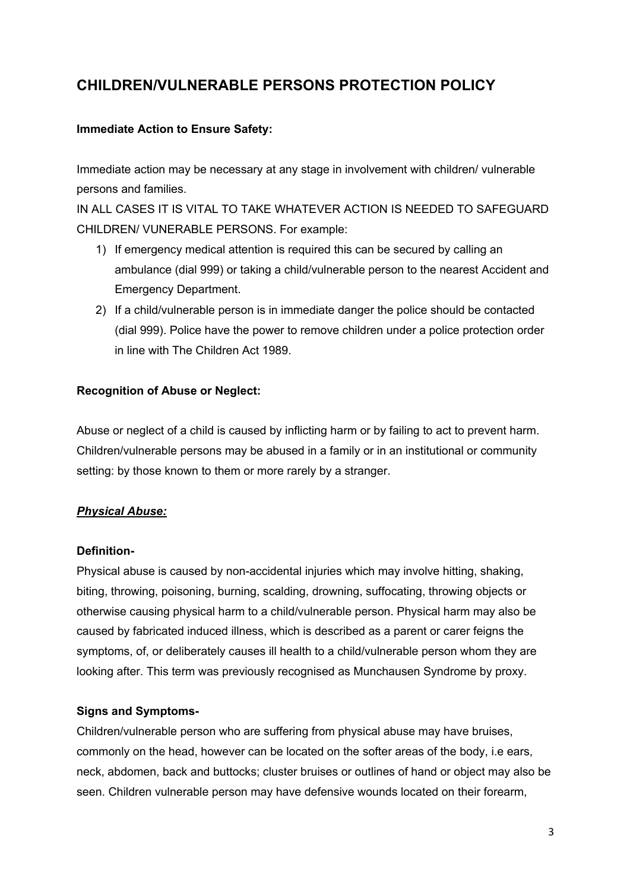# **CHILDREN/VULNERABLE PERSONS PROTECTION POLICY**

# **Immediate Action to Ensure Safety:**

Immediate action may be necessary at any stage in involvement with children/ vulnerable persons and families.

IN ALL CASES IT IS VITAL TO TAKE WHATEVER ACTION IS NEEDED TO SAFEGUARD CHILDREN/ VUNERABLE PERSONS. For example:

- 1) If emergency medical attention is required this can be secured by calling an ambulance (dial 999) or taking a child/vulnerable person to the nearest Accident and Emergency Department.
- 2) If a child/vulnerable person is in immediate danger the police should be contacted (dial 999). Police have the power to remove children under a police protection order in line with The Children Act 1989.

# **Recognition of Abuse or Neglect:**

Abuse or neglect of a child is caused by inflicting harm or by failing to act to prevent harm. Children/vulnerable persons may be abused in a family or in an institutional or community setting: by those known to them or more rarely by a stranger.

# *Physical Abuse:*

#### **Definition-**

Physical abuse is caused by non-accidental injuries which may involve hitting, shaking, biting, throwing, poisoning, burning, scalding, drowning, suffocating, throwing objects or otherwise causing physical harm to a child/vulnerable person. Physical harm may also be caused by fabricated induced illness, which is described as a parent or carer feigns the symptoms, of, or deliberately causes ill health to a child/vulnerable person whom they are looking after. This term was previously recognised as Munchausen Syndrome by proxy.

# **Signs and Symptoms-**

Children/vulnerable person who are suffering from physical abuse may have bruises, commonly on the head, however can be located on the softer areas of the body, i.e ears, neck, abdomen, back and buttocks; cluster bruises or outlines of hand or object may also be seen. Children vulnerable person may have defensive wounds located on their forearm,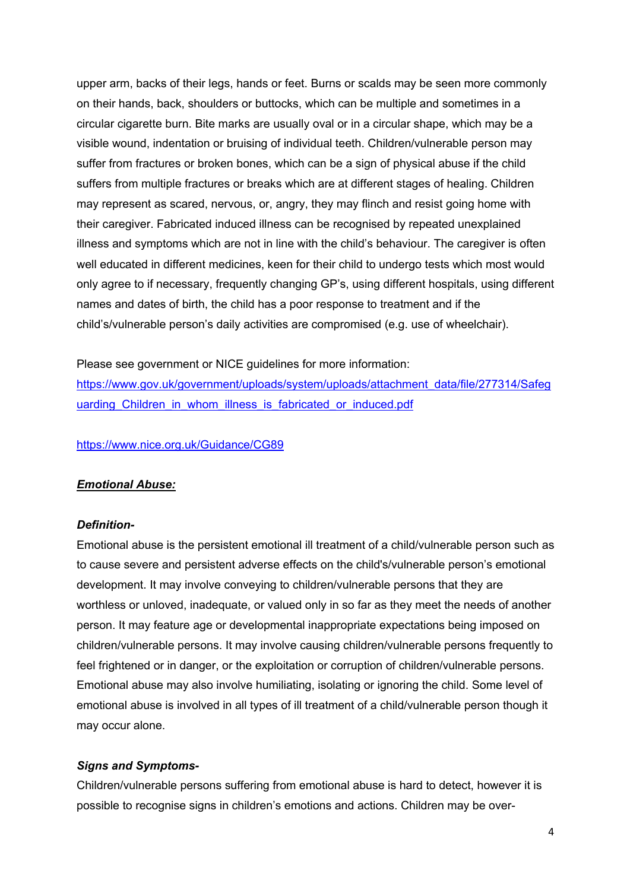upper arm, backs of their legs, hands or feet. Burns or scalds may be seen more commonly on their hands, back, shoulders or buttocks, which can be multiple and sometimes in a circular cigarette burn. Bite marks are usually oval or in a circular shape, which may be a visible wound, indentation or bruising of individual teeth. Children/vulnerable person may suffer from fractures or broken bones, which can be a sign of physical abuse if the child suffers from multiple fractures or breaks which are at different stages of healing. Children may represent as scared, nervous, or, angry, they may flinch and resist going home with their caregiver. Fabricated induced illness can be recognised by repeated unexplained illness and symptoms which are not in line with the child's behaviour. The caregiver is often well educated in different medicines, keen for their child to undergo tests which most would only agree to if necessary, frequently changing GP's, using different hospitals, using different names and dates of birth, the child has a poor response to treatment and if the child's/vulnerable person's daily activities are compromised (e.g. use of wheelchair).

Please see government or NICE guidelines for more information:

https://www.gov.uk/government/uploads/system/uploads/attachment\_data/file/277314/Safeg uarding Children in whom illness is fabricated or induced.pdf

https://www.nice.org.uk/Guidance/CG89

#### *Emotional Abuse:*

#### *Definition-*

Emotional abuse is the persistent emotional ill treatment of a child/vulnerable person such as to cause severe and persistent adverse effects on the child's/vulnerable person's emotional development. It may involve conveying to children/vulnerable persons that they are worthless or unloved, inadequate, or valued only in so far as they meet the needs of another person. It may feature age or developmental inappropriate expectations being imposed on children/vulnerable persons. It may involve causing children/vulnerable persons frequently to feel frightened or in danger, or the exploitation or corruption of children/vulnerable persons. Emotional abuse may also involve humiliating, isolating or ignoring the child. Some level of emotional abuse is involved in all types of ill treatment of a child/vulnerable person though it may occur alone.

#### *Signs and Symptoms-*

Children/vulnerable persons suffering from emotional abuse is hard to detect, however it is possible to recognise signs in children's emotions and actions. Children may be over-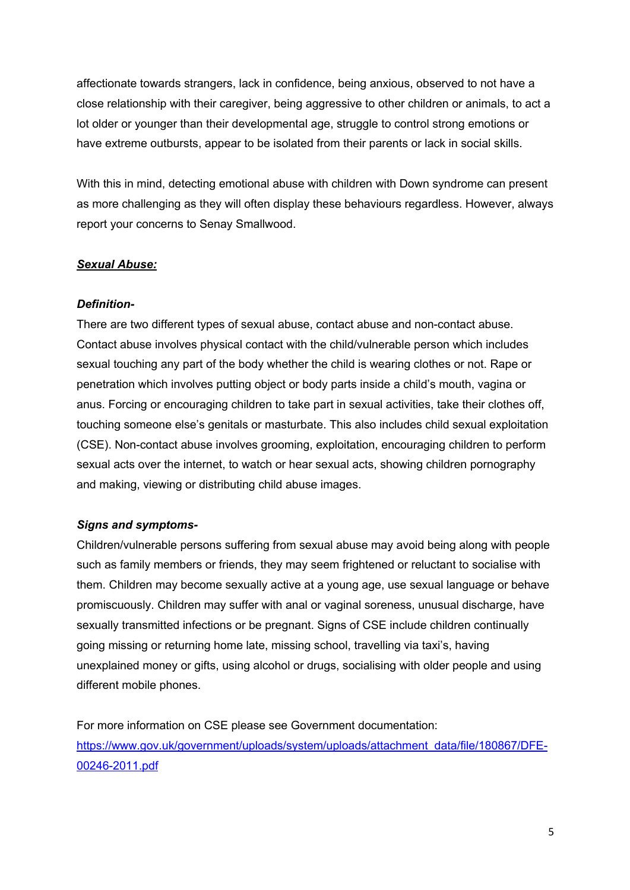affectionate towards strangers, lack in confidence, being anxious, observed to not have a close relationship with their caregiver, being aggressive to other children or animals, to act a lot older or younger than their developmental age, struggle to control strong emotions or have extreme outbursts, appear to be isolated from their parents or lack in social skills.

With this in mind, detecting emotional abuse with children with Down syndrome can present as more challenging as they will often display these behaviours regardless. However, always report your concerns to Senay Smallwood.

#### *Sexual Abuse:*

#### *Definition-*

There are two different types of sexual abuse, contact abuse and non-contact abuse. Contact abuse involves physical contact with the child/vulnerable person which includes sexual touching any part of the body whether the child is wearing clothes or not. Rape or penetration which involves putting object or body parts inside a child's mouth, vagina or anus. Forcing or encouraging children to take part in sexual activities, take their clothes off, touching someone else's genitals or masturbate. This also includes child sexual exploitation (CSE). Non-contact abuse involves grooming, exploitation, encouraging children to perform sexual acts over the internet, to watch or hear sexual acts, showing children pornography and making, viewing or distributing child abuse images.

#### *Signs and symptoms-*

Children/vulnerable persons suffering from sexual abuse may avoid being along with people such as family members or friends, they may seem frightened or reluctant to socialise with them. Children may become sexually active at a young age, use sexual language or behave promiscuously. Children may suffer with anal or vaginal soreness, unusual discharge, have sexually transmitted infections or be pregnant. Signs of CSE include children continually going missing or returning home late, missing school, travelling via taxi's, having unexplained money or gifts, using alcohol or drugs, socialising with older people and using different mobile phones.

For more information on CSE please see Government documentation: https://www.gov.uk/government/uploads/system/uploads/attachment\_data/file/180867/DFE-00246-2011.pdf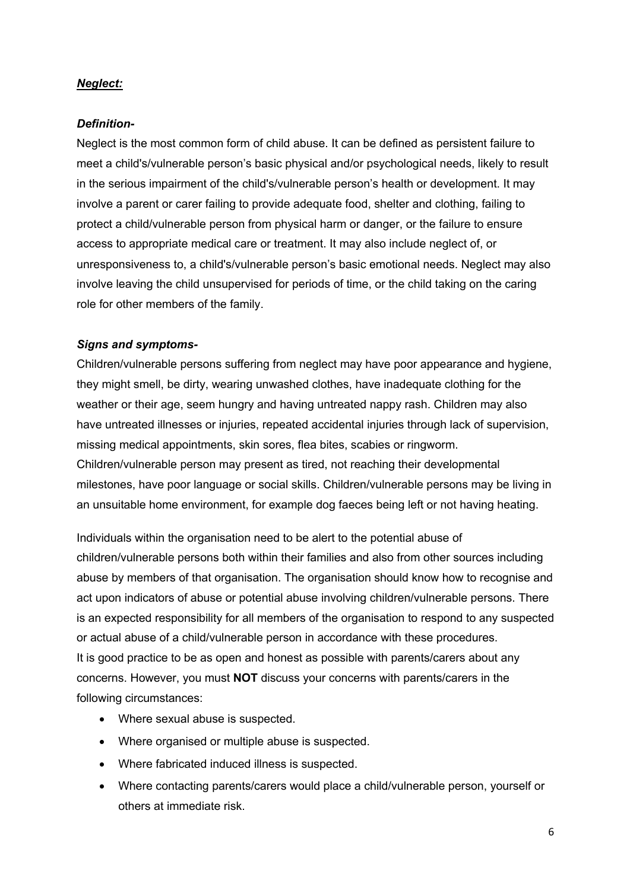#### *Neglect:*

#### *Definition-*

Neglect is the most common form of child abuse. It can be defined as persistent failure to meet a child's/vulnerable person's basic physical and/or psychological needs, likely to result in the serious impairment of the child's/vulnerable person's health or development. It may involve a parent or carer failing to provide adequate food, shelter and clothing, failing to protect a child/vulnerable person from physical harm or danger, or the failure to ensure access to appropriate medical care or treatment. It may also include neglect of, or unresponsiveness to, a child's/vulnerable person's basic emotional needs. Neglect may also involve leaving the child unsupervised for periods of time, or the child taking on the caring role for other members of the family.

#### *Signs and symptoms-*

Children/vulnerable persons suffering from neglect may have poor appearance and hygiene, they might smell, be dirty, wearing unwashed clothes, have inadequate clothing for the weather or their age, seem hungry and having untreated nappy rash. Children may also have untreated illnesses or injuries, repeated accidental injuries through lack of supervision, missing medical appointments, skin sores, flea bites, scabies or ringworm. Children/vulnerable person may present as tired, not reaching their developmental milestones, have poor language or social skills. Children/vulnerable persons may be living in an unsuitable home environment, for example dog faeces being left or not having heating.

Individuals within the organisation need to be alert to the potential abuse of children/vulnerable persons both within their families and also from other sources including abuse by members of that organisation. The organisation should know how to recognise and act upon indicators of abuse or potential abuse involving children/vulnerable persons. There is an expected responsibility for all members of the organisation to respond to any suspected or actual abuse of a child/vulnerable person in accordance with these procedures. It is good practice to be as open and honest as possible with parents/carers about any concerns. However, you must **NOT** discuss your concerns with parents/carers in the following circumstances:

- Where sexual abuse is suspected.
- Where organised or multiple abuse is suspected.
- Where fabricated induced illness is suspected.
- Where contacting parents/carers would place a child/vulnerable person, yourself or others at immediate risk.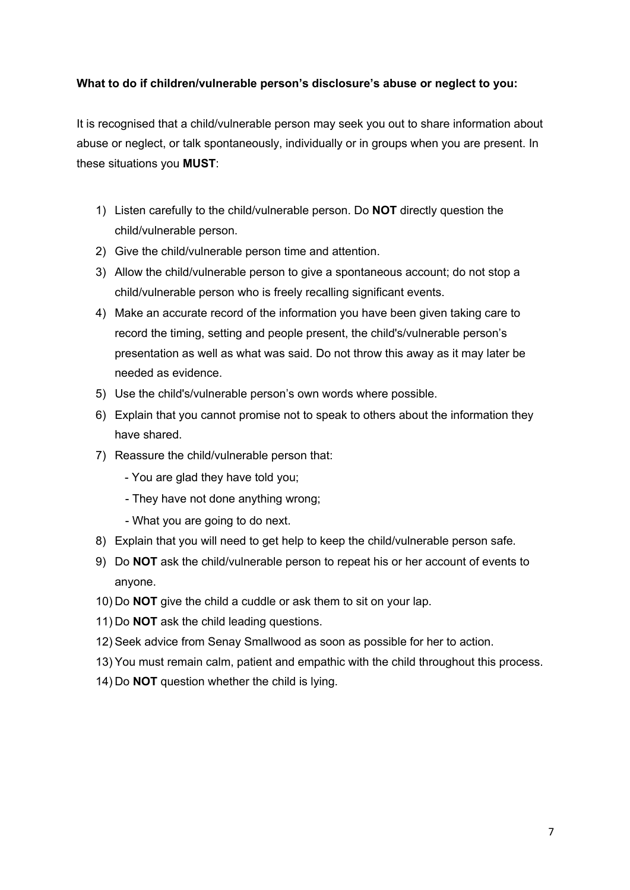#### **What to do if children/vulnerable person's disclosure's abuse or neglect to you:**

It is recognised that a child/vulnerable person may seek you out to share information about abuse or neglect, or talk spontaneously, individually or in groups when you are present. In these situations you **MUST**:

- 1) Listen carefully to the child/vulnerable person. Do **NOT** directly question the child/vulnerable person.
- 2) Give the child/vulnerable person time and attention.
- 3) Allow the child/vulnerable person to give a spontaneous account; do not stop a child/vulnerable person who is freely recalling significant events.
- 4) Make an accurate record of the information you have been given taking care to record the timing, setting and people present, the child's/vulnerable person's presentation as well as what was said. Do not throw this away as it may later be needed as evidence.
- 5) Use the child's/vulnerable person's own words where possible.
- 6) Explain that you cannot promise not to speak to others about the information they have shared.
- 7) Reassure the child/vulnerable person that:
	- You are glad they have told you;
	- They have not done anything wrong;
	- What you are going to do next.
- 8) Explain that you will need to get help to keep the child/vulnerable person safe.
- 9) Do **NOT** ask the child/vulnerable person to repeat his or her account of events to anyone.
- 10) Do **NOT** give the child a cuddle or ask them to sit on your lap.
- 11) Do **NOT** ask the child leading questions.
- 12) Seek advice from Senay Smallwood as soon as possible for her to action.
- 13) You must remain calm, patient and empathic with the child throughout this process.
- 14) Do **NOT** question whether the child is lying.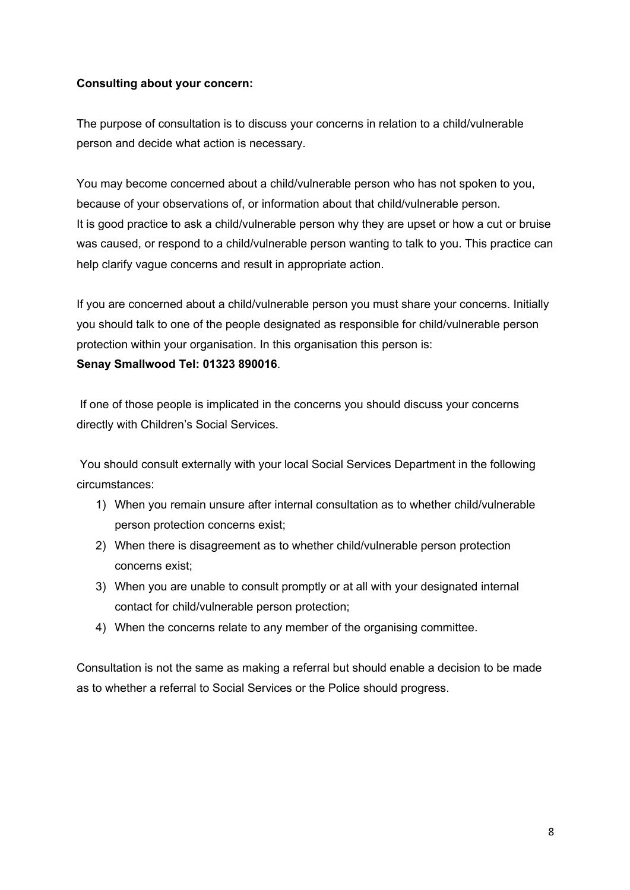#### **Consulting about your concern:**

The purpose of consultation is to discuss your concerns in relation to a child/vulnerable person and decide what action is necessary.

You may become concerned about a child/vulnerable person who has not spoken to you, because of your observations of, or information about that child/vulnerable person. It is good practice to ask a child/vulnerable person why they are upset or how a cut or bruise was caused, or respond to a child/vulnerable person wanting to talk to you. This practice can help clarify vague concerns and result in appropriate action.

If you are concerned about a child/vulnerable person you must share your concerns. Initially you should talk to one of the people designated as responsible for child/vulnerable person protection within your organisation. In this organisation this person is:

#### **Senay Smallwood Tel: 01323 890016**.

If one of those people is implicated in the concerns you should discuss your concerns directly with Children's Social Services.

You should consult externally with your local Social Services Department in the following circumstances:

- 1) When you remain unsure after internal consultation as to whether child/vulnerable person protection concerns exist;
- 2) When there is disagreement as to whether child/vulnerable person protection concerns exist;
- 3) When you are unable to consult promptly or at all with your designated internal contact for child/vulnerable person protection;
- 4) When the concerns relate to any member of the organising committee.

Consultation is not the same as making a referral but should enable a decision to be made as to whether a referral to Social Services or the Police should progress.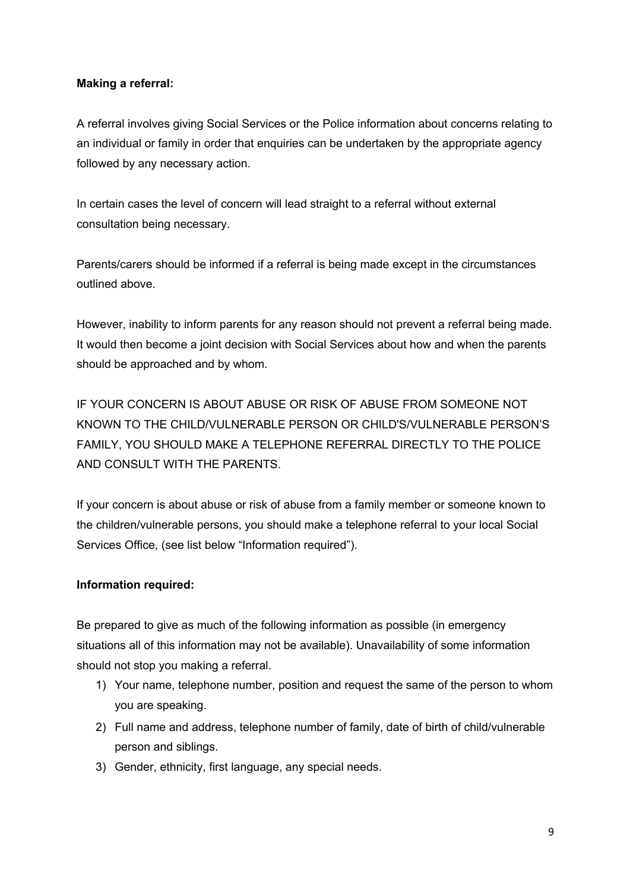#### **Making a referral:**

A referral involves giving Social Services or the Police information about concerns relating to an individual or family in order that enquiries can be undertaken by the appropriate agency followed by any necessary action.

In certain cases the level of concern will lead straight to a referral without external consultation being necessary.

Parents/carers should be informed if a referral is being made except in the circumstances outlined above.

However, inability to inform parents for any reason should not prevent a referral being made. It would then become a joint decision with Social Services about how and when the parents should be approached and by whom.

IF YOUR CONCERN IS ABOUT ABUSE OR RISK OF ABUSE FROM SOMEONE NOT KNOWN TO THE CHILD/VULNERABLE PERSON OR CHILD'S/VULNERABLE PERSON'S FAMILY, YOU SHOULD MAKE A TELEPHONE REFERRAL DIRECTLY TO THE POLICE AND CONSULT WITH THE PARENTS.

If your concern is about abuse or risk of abuse from a family member or someone known to the children/vulnerable persons, you should make a telephone referral to your local Social Services Office, (see list below "Information required").

# **Information required:**

Be prepared to give as much of the following information as possible (in emergency situations all of this information may not be available). Unavailability of some information should not stop you making a referral.

- 1) Your name, telephone number, position and request the same of the person to whom you are speaking.
- 2) Full name and address, telephone number of family, date of birth of child/vulnerable person and siblings.
- 3) Gender, ethnicity, first language, any special needs.